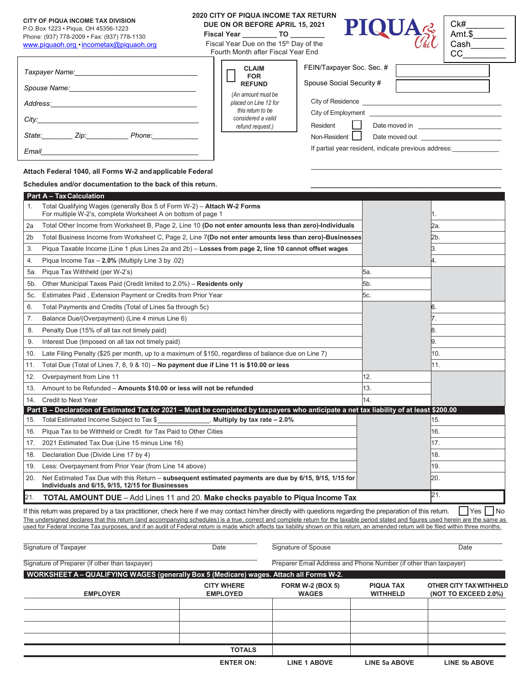#### **CITY OF PIQUA INCOME TAX DIVISION**

# P.O. Box 1223 • Piqua, OH 45356-1223

*Email\_\_\_\_\_\_\_\_\_\_\_\_\_\_\_\_\_\_\_\_\_\_\_\_\_\_\_\_\_\_\_\_\_\_\_\_\_\_\_\_\_*

Phone: (937) 778-2009 • Fax: (937) 778-1130 [www.piquaoh.org •](http://www.piquaoh.org/) [incometax@piquaoh.org](mailto:incometax@piquaoh.org)

## **2020 CITY OF PIQUA INCOME TAX RETURN DUE ON OR BEFORE APRIL 15, 2021**

**Fiscal Year \_\_\_\_\_\_\_\_\_ TO \_\_\_\_\_\_\_\_\_**

Fiscal Year Due on the 15<sup>th</sup> Day of the Fourth Month after Fiscal Year End Lг

| $\textbf{PIQUA}_{\textit{Cik}}^{\textit{Ck}}\left \begin{smallmatrix} \textit{Ck} \ \textit{Arr} \ \textit{Can} \ \textit{Can} \ \end{smallmatrix}\right $ |  |
|------------------------------------------------------------------------------------------------------------------------------------------------------------|--|
|------------------------------------------------------------------------------------------------------------------------------------------------------------|--|

| Ck#    |  |
|--------|--|
| Amt.\$ |  |
| Cash   |  |
|        |  |

| Taxpayer Name:<br><u> 1980 - Jan Stein Stein Stein Stein Stein Stein Stein Stein Stein Stein Stein Stein Stein Stein Stein Stein S</u> | <b>CLAIM</b><br><b>FOR</b>                                       | FEIN/Taxpayer Soc. Sec. #                            |
|----------------------------------------------------------------------------------------------------------------------------------------|------------------------------------------------------------------|------------------------------------------------------|
| Spouse Name:                                                                                                                           | <b>REFUND</b>                                                    | Spouse Social Security #                             |
| Address:                                                                                                                               | (An amount must be<br>placed on Line 12 for<br>this return to be | City of Residence                                    |
| City:                                                                                                                                  | considered a valid<br>refund request.)                           | City of Employment<br>Resident<br>Date moved in      |
| State:<br>Zip:<br>Phone:                                                                                                               |                                                                  | Non-Resident<br>Date moved out                       |
| <b>Email</b>                                                                                                                           |                                                                  | If partial year resident, indicate previous address: |

# **Attach Federal 1040, all Forms W-2 andapplicable Federal**

### Schedules and/or documentation to the back of this return.

|                | <b>Part A - Tax Calculation</b>                                                                                                                            |     |            |
|----------------|------------------------------------------------------------------------------------------------------------------------------------------------------------|-----|------------|
| 1.             | Total Qualifying Wages (generally Box 5 of Form W-2) - Attach W-2 Forms<br>For multiple W-2's, complete Worksheet A on bottom of page 1                    |     | Π.         |
| 2a             | Total Other Income from Worksheet B, Page 2, Line 10 (Do not enter amounts less than zero)-Individuals                                                     |     | 2a.        |
| 2 <sub>b</sub> | Total Business Income from Worksheet C, Page 2, Line 7(Do not enter amounts less than zero)-Businesses                                                     |     | l2b.       |
| 3.             | Piqua Taxable Income (Line 1 plus Lines 2a and 2b) - Losses from page 2, line 10 cannot offset wages                                                       |     | Β.         |
| 4.             | Piqua Income Tax - 2.0% (Multiply Line 3 by .02)                                                                                                           |     | 4.         |
| 5a.            | Piqua Tax Withheld (per W-2's)                                                                                                                             | 5а. |            |
| 5b.            | Other Municipal Taxes Paid (Credit limited to 2.0%) - Residents only                                                                                       | 5b. |            |
| <b>5с.</b>     | Estimates Paid, Extension Payment or Credits from Prior Year                                                                                               | 5с. |            |
| 6.             | Total Payments and Credits (Total of Lines 5a through 5c)                                                                                                  |     | 16.        |
| 7.             | Balance Due/(Overpayment) (Line 4 minus Line 6)                                                                                                            |     |            |
| 8.             | Penalty Due (15% of all tax not timely paid)                                                                                                               |     | 18.        |
| 9.             | Interest Due (Imposed on all tax not timely paid)                                                                                                          |     | 9.         |
| 10.            | Late Filing Penalty (\$25 per month, up to a maximum of \$150, regardless of balance due on Line 7)                                                        |     | 10.        |
| 11.            | Total Due (Total of Lines 7, 8, 9 & 10) - No payment due if Line 11 is \$10.00 or less                                                                     |     | l11.       |
| 12.            | Overpayment from Line 11                                                                                                                                   | 12. |            |
| 13.            | Amount to be Refunded - Amounts \$10.00 or less will not be refunded                                                                                       | 13. |            |
| 14.            | <b>Credit to Next Year</b>                                                                                                                                 | 14  |            |
|                | Part B - Declaration of Estimated Tax for 2021 - Must be completed by taxpayers who anticipate a net tax liability of at least \$200.00                    |     |            |
|                | 15. Total Estimated Income Subject to Tax \$<br>Multiply by tax rate $-2.0\%$                                                                              |     | 15.        |
| 16.            | Piqua Tax to be Withheld or Credit for Tax Paid to Other Cities                                                                                            |     | 16.        |
| 17.            | 2021 Estimated Tax Due (Line 15 minus Line 16)                                                                                                             |     | 17.        |
| 18.            | Declaration Due (Divide Line 17 by 4)                                                                                                                      |     | 18.        |
| 19.            | Less: Overpayment from Prior Year (from Line 14 above)                                                                                                     |     | 19.        |
| 20.            | Net Estimated Tax Due with this Return - subsequent estimated payments are due by 6/15, 9/15, 1/15 for<br>Individuals and 6/15, 9/15, 12/15 for Businesses |     | 20.<br>21. |
| 21.            | <b>TOTAL AMOUNT DUE</b> - Add Lines 11 and 20. Make checks payable to Piqua Income Tax                                                                     |     |            |

If this return was prepared by a tax practitioner, check here if we may contact him/her directly with questions regarding the preparation of this return.  $\Box$  Yes  $\Box$  No The undersigned declares that this return (and accompanying schedules) is a true, correct and complete return for the taxable period stated and figures used herein are the same as used for Federal Income Tax purposes, and if an audit of Federal return is made which affects tax liability shown on this return, an amended return will be filed within three months.

| Preparer Email Address and Phone Number (if other than taxpayer) |
|------------------------------------------------------------------|
|                                                                  |
|                                                                  |
| OTHER CITY TAX WITHHELD<br>(NOT TO EXCEED 2.0%)                  |
|                                                                  |
|                                                                  |
|                                                                  |
|                                                                  |
| <b>LINE 5b ABOVE</b>                                             |
|                                                                  |